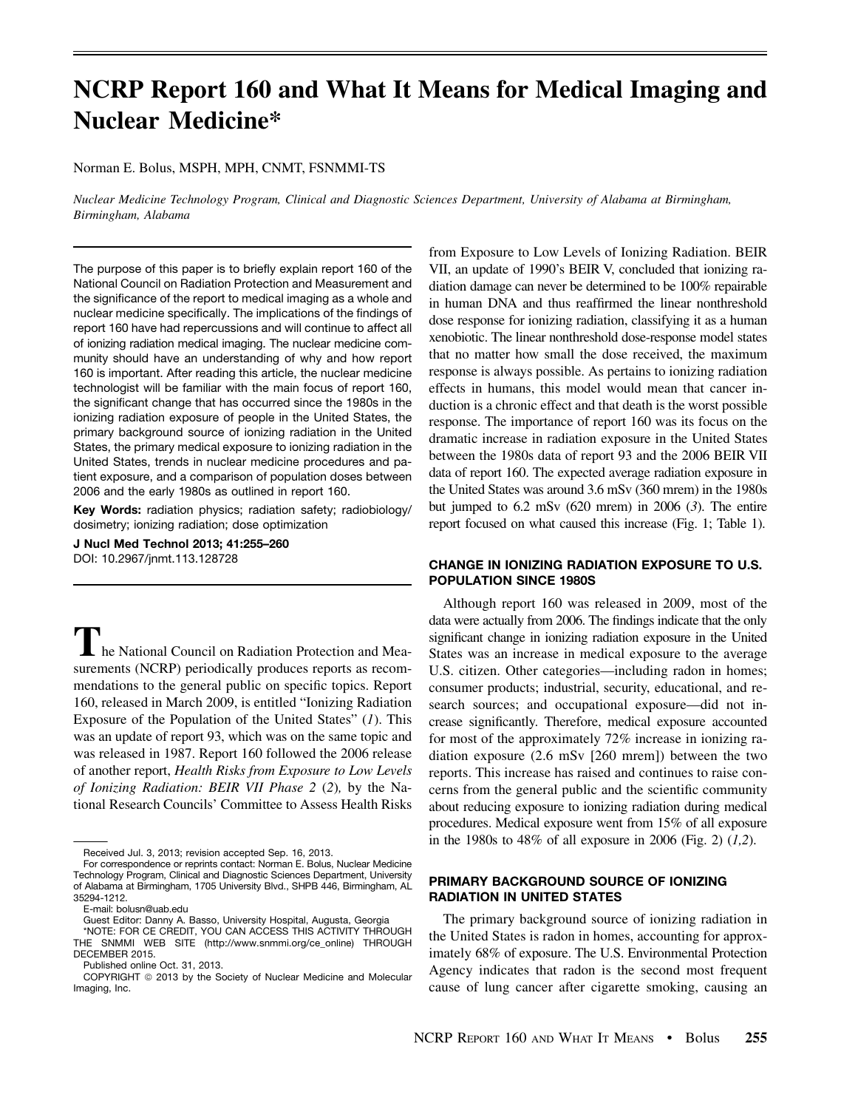# NCRP Report 160 and What It Means for Medical Imaging and Nuclear Medicine\*

### Norman E. Bolus, MSPH, MPH, CNMT, FSNMMI-TS

Nuclear Medicine Technology Program, Clinical and Diagnostic Sciences Department, University of Alabama at Birmingham, Birmingham, Alabama

The purpose of this paper is to briefly explain report 160 of the National Council on Radiation Protection and Measurement and the significance of the report to medical imaging as a whole and nuclear medicine specifically. The implications of the findings of report 160 have had repercussions and will continue to affect all of ionizing radiation medical imaging. The nuclear medicine community should have an understanding of why and how report 160 is important. After reading this article, the nuclear medicine technologist will be familiar with the main focus of report 160, the significant change that has occurred since the 1980s in the ionizing radiation exposure of people in the United States, the primary background source of ionizing radiation in the United States, the primary medical exposure to ionizing radiation in the United States, trends in nuclear medicine procedures and patient exposure, and a comparison of population doses between 2006 and the early 1980s as outlined in report 160.

Key Words: radiation physics; radiation safety; radiobiology/ dosimetry; ionizing radiation; dose optimization

J Nucl Med Technol 2013; 41:255–260 DOI: 10.2967/jnmt.113.128728

I he National Council on Radiation Protection and Measurements (NCRP) periodically produces reports as recommendations to the general public on specific topics. Report 160, released in March 2009, is entitled "Ionizing Radiation Exposure of the Population of the United States" (1). This was an update of report 93, which was on the same topic and was released in 1987. Report 160 followed the 2006 release of another report, Health Risks from Exposure to Low Levels of Ionizing Radiation: BEIR VII Phase 2 (2), by the National Research Councils' Committee to Assess Health Risks

from Exposure to Low Levels of Ionizing Radiation. BEIR VII, an update of 1990's BEIR V, concluded that ionizing radiation damage can never be determined to be 100% repairable in human DNA and thus reaffirmed the linear nonthreshold dose response for ionizing radiation, classifying it as a human xenobiotic. The linear nonthreshold dose-response model states that no matter how small the dose received, the maximum response is always possible. As pertains to ionizing radiation effects in humans, this model would mean that cancer induction is a chronic effect and that death is the worst possible response. The importance of report 160 was its focus on the dramatic increase in radiation exposure in the United States between the 1980s data of report 93 and the 2006 BEIR VII data of report 160. The expected average radiation exposure in the United States was around 3.6 mSv (360 mrem) in the 1980s but jumped to  $6.2$  mSv  $(620$  mrem) in  $2006$   $(3)$ . The entire report focused on what caused this increase (Fig. 1; Table 1).

# CHANGE IN IONIZING RADIATION EXPOSURE TO U.S. POPULATION SINCE 1980S

Although report 160 was released in 2009, most of the data were actually from 2006. The findings indicate that the only significant change in ionizing radiation exposure in the United States was an increase in medical exposure to the average U.S. citizen. Other categories—including radon in homes; consumer products; industrial, security, educational, and research sources; and occupational exposure—did not increase significantly. Therefore, medical exposure accounted for most of the approximately 72% increase in ionizing radiation exposure (2.6 mSv [260 mrem]) between the two reports. This increase has raised and continues to raise concerns from the general public and the scientific community about reducing exposure to ionizing radiation during medical procedures. Medical exposure went from 15% of all exposure in the 1980s to 48% of all exposure in 2006 (Fig. 2)  $(1,2)$ .

# PRIMARY BACKGROUND SOURCE OF IONIZING RADIATION IN UNITED STATES

The primary background source of ionizing radiation in the United States is radon in homes, accounting for approximately 68% of exposure. The U.S. Environmental Protection Agency indicates that radon is the second most frequent cause of lung cancer after cigarette smoking, causing an

Received Jul. 3, 2013; revision accepted Sep. 16, 2013.

For correspondence or reprints contact: Norman E. Bolus, Nuclear Medicine Technology Program, Clinical and Diagnostic Sciences Department, University of Alabama at Birmingham, 1705 University Blvd., SHPB 446, Birmingham, AL 35294-1212.

E-mail: [bolusn@uab.edu](mailto:bolusn@uab.edu)

Guest Editor: Danny A. Basso, University Hospital, Augusta, Georgia \*NOTE: FOR CE CREDIT, YOU CAN ACCESS THIS ACTIVITY THROUGH THE SNMMI WEB SITE [\(http://www.snmmi.org/ce\\_online](http://www.snmmi.org/ce_online)) THROUGH DECEMBER 2015.

Published online Oct. 31, 2013.

COPYRIGHT @ 2013 by the Society of Nuclear Medicine and Molecular Imaging, Inc.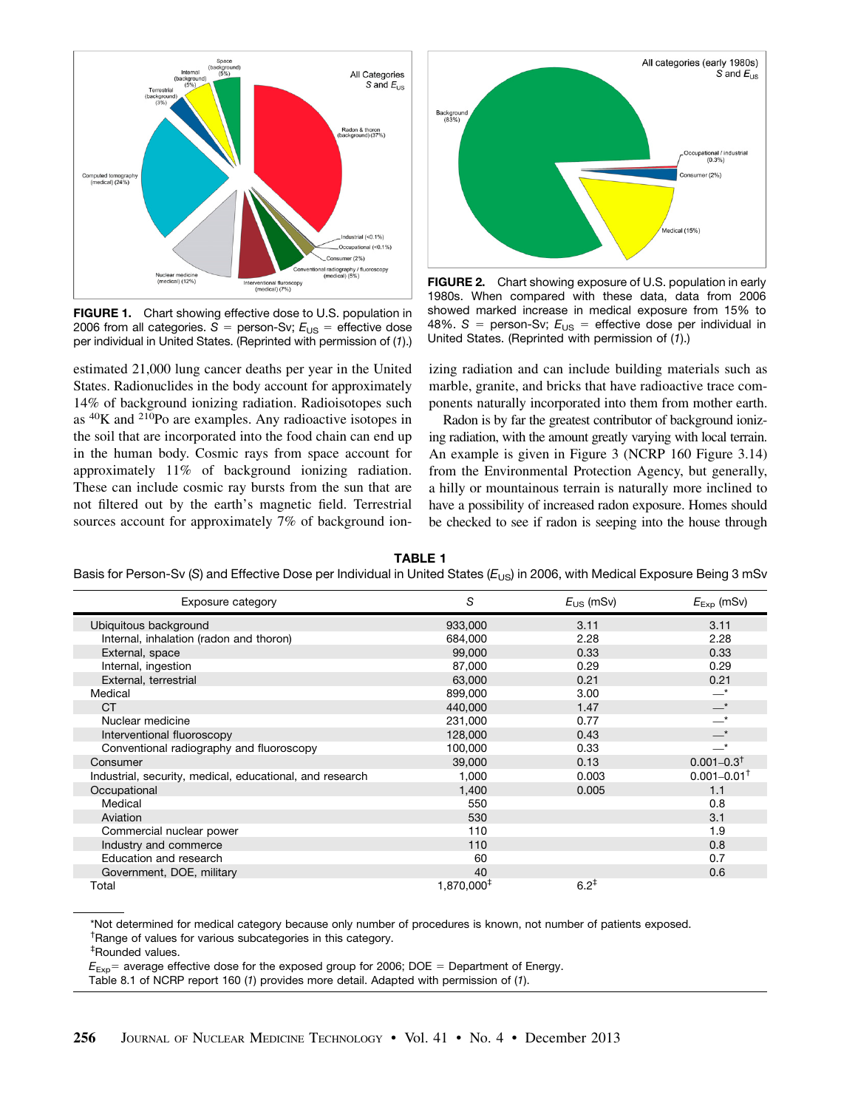

FIGURE 1. Chart showing effective dose to U.S. population in 2006 from all categories.  $S =$  person-Sv;  $E_{US} =$  effective dose per individual in United States. (Reprinted with permission of (*1*).)

estimated 21,000 lung cancer deaths per year in the United States. Radionuclides in the body account for approximately 14% of background ionizing radiation. Radioisotopes such as 40K and 210Po are examples. Any radioactive isotopes in the soil that are incorporated into the food chain can end up in the human body. Cosmic rays from space account for approximately 11% of background ionizing radiation. These can include cosmic ray bursts from the sun that are not filtered out by the earth's magnetic field. Terrestrial sources account for approximately 7% of background ion-



FIGURE 2. Chart showing exposure of U.S. population in early 1980s. When compared with these data, data from 2006 showed marked increase in medical exposure from 15% to 48%.  $S =$  person-Sv;  $E_{\text{US}} =$  effective dose per individual in United States. (Reprinted with permission of (*1*).)

izing radiation and can include building materials such as marble, granite, and bricks that have radioactive trace components naturally incorporated into them from mother earth.

Radon is by far the greatest contributor of background ionizing radiation, with the amount greatly varying with local terrain. An example is given in Figure 3 (NCRP 160 Figure 3.14) from the Environmental Protection Agency, but generally, a hilly or mountainous terrain is naturally more inclined to have a possibility of increased radon exposure. Homes should be checked to see if radon is seeping into the house through

TABLE 1

Basis for Person-Sv (S) and Effective Dose per Individual in United States (E<sub>US</sub>) in 2006, with Medical Exposure Being 3 mSv

| Exposure category                                        | S                      | $E_{\text{US}}$ (mSv) | $E_{\text{Exp}}$ (mSv)      |
|----------------------------------------------------------|------------------------|-----------------------|-----------------------------|
| Ubiquitous background                                    | 933,000                | 3.11                  | 3.11                        |
| Internal, inhalation (radon and thoron)                  | 684,000                | 2.28                  | 2.28                        |
| External, space                                          | 99,000                 | 0.33                  | 0.33                        |
| Internal, ingestion                                      | 87,000                 | 0.29                  | 0.29                        |
| External, terrestrial                                    | 63,000                 | 0.21                  | 0.21                        |
| Medical                                                  | 899,000                | 3.00                  | $\overline{\phantom{a}}^*$  |
| <b>CT</b>                                                | 440,000                | 1.47                  | $-^{\star}$                 |
| Nuclear medicine                                         | 231,000                | 0.77                  | $\overline{\phantom{a}}^*$  |
| Interventional fluoroscopy                               | 128,000                | 0.43                  | $-^*$                       |
| Conventional radiography and fluoroscopy                 | 100,000                | 0.33                  | _*                          |
| Consumer                                                 | 39,000                 | 0.13                  | $0.001 - 0.3$ <sup>†</sup>  |
| Industrial, security, medical, educational, and research | 1,000                  | 0.003                 | $0.001 - 0.01$ <sup>+</sup> |
| Occupational                                             | 1,400                  | 0.005                 | 1.1                         |
| Medical                                                  | 550                    |                       | 0.8                         |
| Aviation                                                 | 530                    |                       | 3.1                         |
| Commercial nuclear power                                 | 110                    |                       | 1.9                         |
| Industry and commerce                                    | 110                    |                       | 0.8                         |
| Education and research                                   | 60                     |                       | 0.7                         |
| Government, DOE, military                                | 40                     |                       | 0.6                         |
| Total                                                    | 1,870,000 <sup>‡</sup> | $6.2^+$               |                             |

\*Not determined for medical category because only number of procedures is known, not number of patients exposed. † Range of values for various subcategories in this category.

‡ Rounded values.

 $E_{Exp}$  average effective dose for the exposed group for 2006; DOE = Department of Energy.

Table 8.1 of NCRP report 160 (*1*) provides more detail. Adapted with permission of (*1*).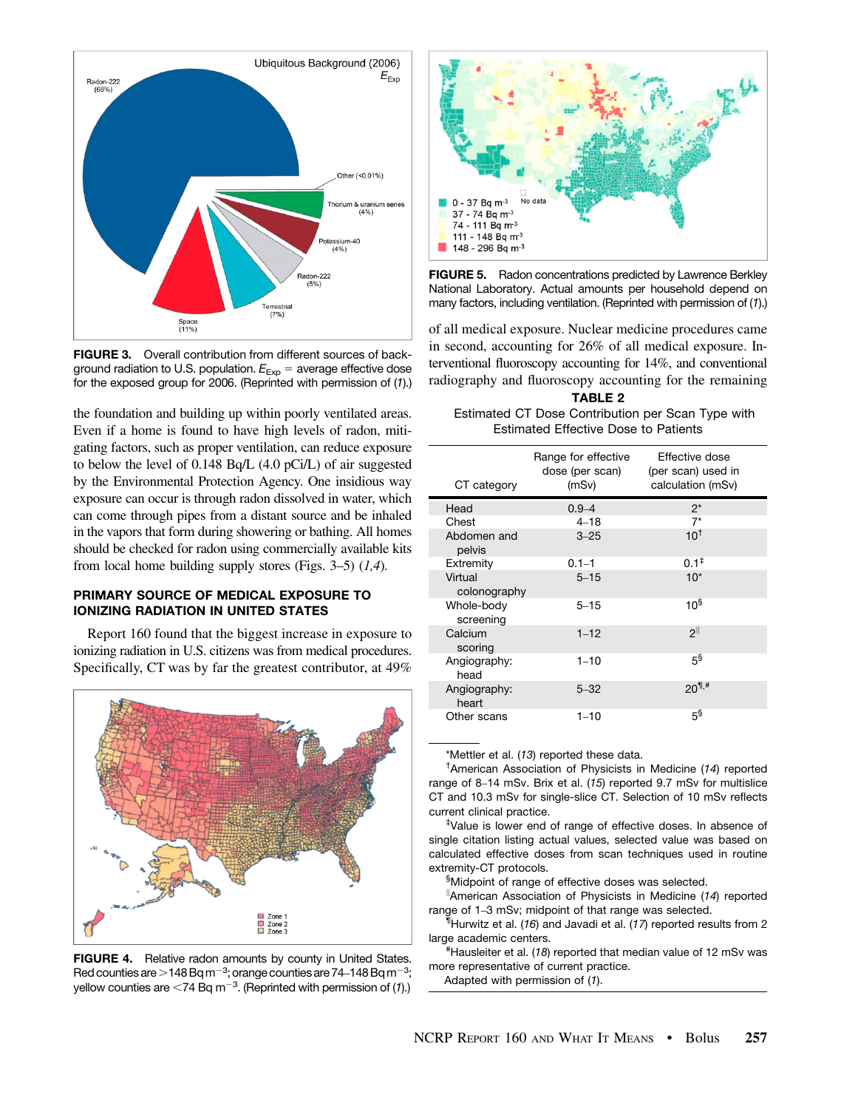

FIGURE 3. Overall contribution from different sources of background radiation to U.S. population.  $E_{Exp}$  = average effective dose for the exposed group for 2006. (Reprinted with permission of (*1*).)

the foundation and building up within poorly ventilated areas. Even if a home is found to have high levels of radon, mitigating factors, such as proper ventilation, can reduce exposure to below the level of 0.148 Bq/L (4.0 pCi/L) of air suggested by the Environmental Protection Agency. One insidious way exposure can occur is through radon dissolved in water, which can come through pipes from a distant source and be inhaled in the vapors that form during showering or bathing. All homes should be checked for radon using commercially available kits from local home building supply stores (Figs. 3–5)  $(1,4)$ .

## PRIMARY SOURCE OF MEDICAL EXPOSURE TO IONIZING RADIATION IN UNITED STATES

Report 160 found that the biggest increase in exposure to ionizing radiation in U.S. citizens was from medical procedures. Specifically, CT was by far the greatest contributor, at 49%



FIGURE 4. Relative radon amounts by county in United States. Red counties are  $>$  148 Bq m<sup>-3</sup>; orange counties are 74–148 Bq m<sup>-3</sup>; yellow counties are  $<$ 74 Bq m<sup>-3</sup>. (Reprinted with permission of (1).)



FIGURE 5. Radon concentrations predicted by Lawrence Berkley National Laboratory. Actual amounts per household depend on many factors, including ventilation. (Reprinted with permission of (*1*).)

of all medical exposure. Nuclear medicine procedures came in second, accounting for 26% of all medical exposure. Interventional fluoroscopy accounting for 14%, and conventional radiography and fluoroscopy accounting for the remaining

TABLE 2 Estimated CT Dose Contribution per Scan Type with Estimated Effective Dose to Patients

| CT category             | Range for effective<br>dose (per scan)<br>(mSv) | Effective dose<br>(per scan) used in<br>calculation (mSv) |
|-------------------------|-------------------------------------------------|-----------------------------------------------------------|
| Head                    | $0.9 - 4$                                       | $2^*$                                                     |
| Chest                   | $4 - 18$                                        | $7^*$                                                     |
| Abdomen and<br>pelvis   | $3 - 25$                                        | $10^+$                                                    |
| Extremity               | $0.1 - 1$                                       | $0.1^{\ddagger}$                                          |
| Virtual<br>colonography | $5 - 15$                                        | $10*$                                                     |
| Whole-body<br>screening | $5 - 15$                                        | 10 <sup>§</sup>                                           |
| Calcium<br>scoring      | $1 - 12$                                        | ∣ופ                                                       |
| Angiography:<br>head    | $1 - 10$                                        | 58                                                        |
| Angiography:<br>heart   | $5 - 32$                                        | $20^{1,#}$                                                |
| Other scans             | $1 - 10$                                        | $5^{\$}$                                                  |

\*Mettler et al. (*13*) reported these data.

† American Association of Physicists in Medicine (*14*) reported range of 8–14 mSv. Brix et al. (*15*) reported 9.7 mSv for multislice CT and 10.3 mSv for single-slice CT. Selection of 10 mSv reflects current clinical practice.

‡ Value is lower end of range of effective doses. In absence of single citation listing actual values, selected value was based on calculated effective doses from scan techniques used in routine extremity-CT protocols.

§ Midpoint of range of effective doses was selected.

k American Association of Physicists in Medicine (*14*) reported range of 1–3 mSv; midpoint of that range was selected.

¶ Hurwitz et al. (*16*) and Javadi et al. (*17*) reported results from 2 large academic centers.

Hausleiter et al. (*18*) reported that median value of 12 mSv was more representative of current practice.

Adapted with permission of (*1*).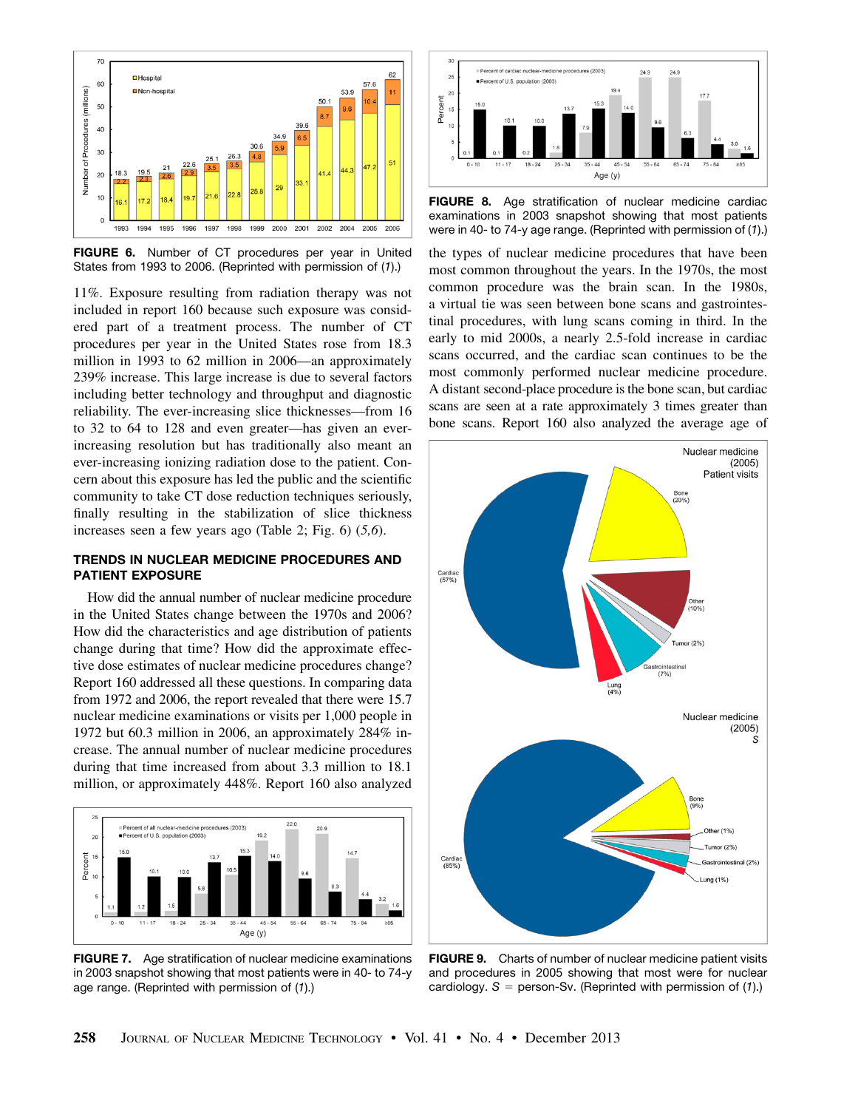

FIGURE 6. Number of CT procedures per year in United States from 1993 to 2006. (Reprinted with permission of (*1*).)

11%. Exposure resulting from radiation therapy was not included in report 160 because such exposure was considered part of a treatment process. The number of CT procedures per year in the United States rose from 18.3 million in 1993 to 62 million in 2006—an approximately 239% increase. This large increase is due to several factors including better technology and throughput and diagnostic reliability. The ever-increasing slice thicknesses—from 16 to 32 to 64 to 128 and even greater—has given an everincreasing resolution but has traditionally also meant an ever-increasing ionizing radiation dose to the patient. Concern about this exposure has led the public and the scientific community to take CT dose reduction techniques seriously, finally resulting in the stabilization of slice thickness increases seen a few years ago (Table 2; Fig. 6) (5,6).

## TRENDS IN NUCLEAR MEDICINE PROCEDURES AND PATIENT EXPOSURE

How did the annual number of nuclear medicine procedure in the United States change between the 1970s and 2006? How did the characteristics and age distribution of patients change during that time? How did the approximate effective dose estimates of nuclear medicine procedures change? Report 160 addressed all these questions. In comparing data from 1972 and 2006, the report revealed that there were 15.7 nuclear medicine examinations or visits per 1,000 people in 1972 but 60.3 million in 2006, an approximately 284% increase. The annual number of nuclear medicine procedures during that time increased from about 3.3 million to 18.1 million, or approximately 448%. Report 160 also analyzed



FIGURE 7. Age stratification of nuclear medicine examinations in 2003 snapshot showing that most patients were in 40- to 74-y age range. (Reprinted with permission of (*1*).)



**FIGURE 8.** Age stratification of nuclear medicine cardiac examinations in 2003 snapshot showing that most patients were in 40- to 74-y age range. (Reprinted with permission of (*1*).)

the types of nuclear medicine procedures that have been most common throughout the years. In the 1970s, the most common procedure was the brain scan. In the 1980s, a virtual tie was seen between bone scans and gastrointestinal procedures, with lung scans coming in third. In the early to mid 2000s, a nearly 2.5-fold increase in cardiac scans occurred, and the cardiac scan continues to be the most commonly performed nuclear medicine procedure. A distant second-place procedure is the bone scan, but cardiac scans are seen at a rate approximately 3 times greater than bone scans. Report 160 also analyzed the average age of



FIGURE 9. Charts of number of nuclear medicine patient visits and procedures in 2005 showing that most were for nuclear cardiology.  $S =$  person-Sv. (Reprinted with permission of  $(1)$ .)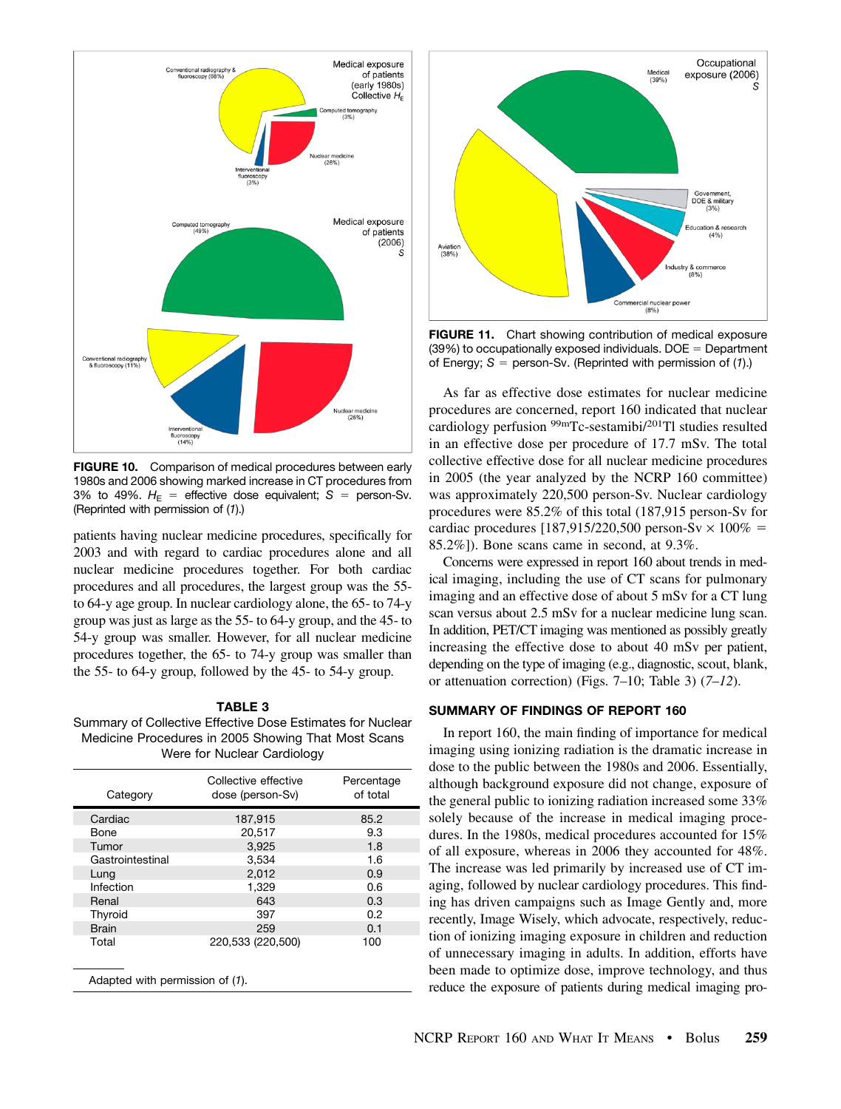

FIGURE 10. Comparison of medical procedures between early 1980s and 2006 showing marked increase in CT procedures from 3% to 49%.  $H_E$  = effective dose equivalent;  $S$  = person-Sv. (Reprinted with permission of (*1*).)

patients having nuclear medicine procedures, specifically for 2003 and with regard to cardiac procedures alone and all nuclear medicine procedures together. For both cardiac procedures and all procedures, the largest group was the 55 to 64-y age group. In nuclear cardiology alone, the 65- to 74-y group was just as large as the 55- to 64-y group, and the 45- to 54-y group was smaller. However, for all nuclear medicine procedures together, the 65- to 74-y group was smaller than the 55- to 64-y group, followed by the 45- to 54-y group.

## TABLE 3

Summary of Collective Effective Dose Estimates for Nuclear Medicine Procedures in 2005 Showing That Most Scans Were for Nuclear Cardiology

| Category                        | Collective effective<br>dose (person-Sv) | Percentage<br>of total |  |  |  |
|---------------------------------|------------------------------------------|------------------------|--|--|--|
| Cardiac                         | 187,915                                  | 85.2                   |  |  |  |
| Bone                            | 20.517                                   | 9.3                    |  |  |  |
| Tumor                           | 3,925                                    | 1.8                    |  |  |  |
| Gastrointestinal                | 3,534                                    | 1.6                    |  |  |  |
| Lung                            | 2,012                                    | 0.9                    |  |  |  |
| Infection                       | 1,329                                    | 0.6                    |  |  |  |
| Renal                           | 643                                      | 0.3                    |  |  |  |
| Thyroid                         | 397                                      | 0.2                    |  |  |  |
| <b>Brain</b>                    | 259                                      | 0.1                    |  |  |  |
| Total                           | 220,533 (220,500)                        | 100                    |  |  |  |
| Adapted with permission of (1). |                                          |                        |  |  |  |



FIGURE 11. Chart showing contribution of medical exposure  $(39%)$  to occupationally exposed individuals. DOE = Department of Energy;  $S =$  person-Sv. (Reprinted with permission of  $(1)$ .)

As far as effective dose estimates for nuclear medicine procedures are concerned, report 160 indicated that nuclear cardiology perfusion 99mTc-sestamibi/201Tl studies resulted in an effective dose per procedure of 17.7 mSv. The total collective effective dose for all nuclear medicine procedures in 2005 (the year analyzed by the NCRP 160 committee) was approximately 220,500 person-Sv. Nuclear cardiology procedures were 85.2% of this total (187,915 person-Sv for cardiac procedures  $[187,915/220,500$  person-Sv  $\times 100\%$  = 85.2%]). Bone scans came in second, at 9.3%.

Concerns were expressed in report 160 about trends in medical imaging, including the use of CT scans for pulmonary imaging and an effective dose of about 5 mSv for a CT lung scan versus about 2.5 mSv for a nuclear medicine lung scan. In addition, PET/CT imaging was mentioned as possibly greatly increasing the effective dose to about 40 mSv per patient, depending on the type of imaging (e.g., diagnostic, scout, blank, or attenuation correction) (Figs.  $7-10$ ; Table 3) ( $7-12$ ).

## SUMMARY OF FINDINGS OF REPORT 160

In report 160, the main finding of importance for medical imaging using ionizing radiation is the dramatic increase in dose to the public between the 1980s and 2006. Essentially, although background exposure did not change, exposure of the general public to ionizing radiation increased some 33% solely because of the increase in medical imaging procedures. In the 1980s, medical procedures accounted for 15% of all exposure, whereas in 2006 they accounted for 48%. The increase was led primarily by increased use of CT imaging, followed by nuclear cardiology procedures. This finding has driven campaigns such as Image Gently and, more recently, Image Wisely, which advocate, respectively, reduction of ionizing imaging exposure in children and reduction of unnecessary imaging in adults. In addition, efforts have been made to optimize dose, improve technology, and thus reduce the exposure of patients during medical imaging pro-